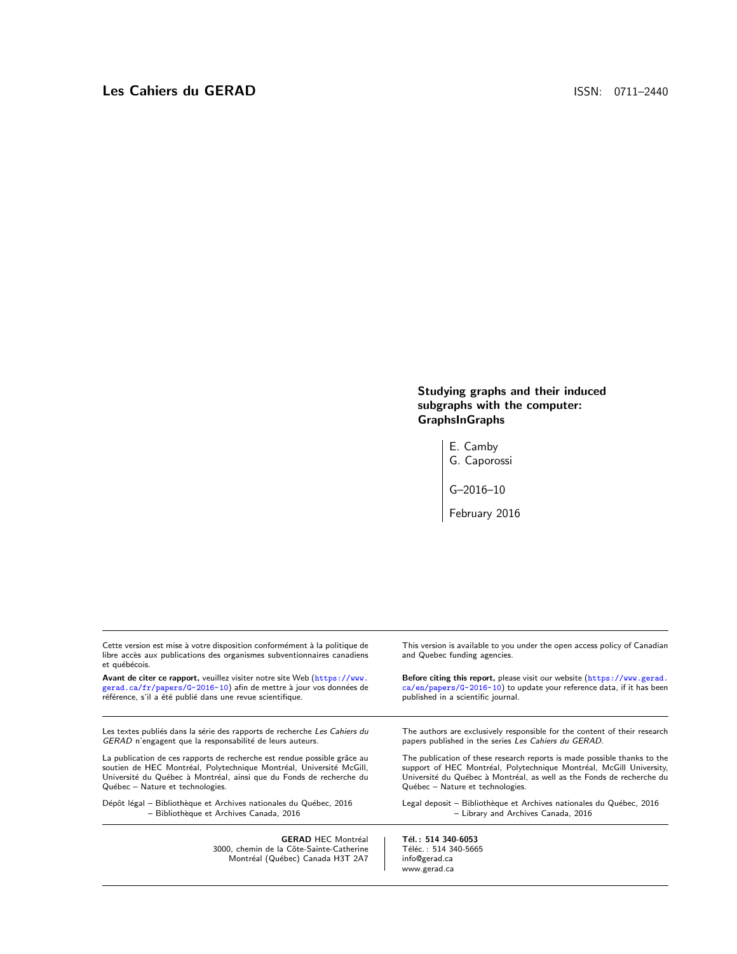Studying graphs and their induced subgraphs with the computer: GraphsInGraphs

> E. Camby G. Caporossi

G–2016–10

February 2016

| Cette version est mise à votre disposition conformément à la politique de<br>libre accès aux publications des organismes subventionnaires canadiens<br>et québécois. | This version is available to you under the open access policy of Canadian<br>and Quebec funding agencies. |
|----------------------------------------------------------------------------------------------------------------------------------------------------------------------|-----------------------------------------------------------------------------------------------------------|
| Avant de citer ce rapport, veuillez visiter notre site Web (https://www.                                                                                             | Before citing this report, please visit our website (https://www.gerad.                                   |
| gerad.ca/fr/papers/G-2016-10) afin de mettre à jour vos données de                                                                                                   | $ca/en/papers/G-2016-10)$ to update your reference data, if it has been                                   |
| référence, s'il a été publié dans une revue scientifique.                                                                                                            | published in a scientific journal.                                                                        |
| Les textes publiés dans la série des rapports de recherche <i>Les Cahiers du</i>                                                                                     | The authors are exclusively responsible for the content of their research                                 |
| GERAD n'engagent que la responsabilité de leurs auteurs.                                                                                                             | papers published in the series Les Cahiers du GERAD.                                                      |
| La publication de ces rapports de recherche est rendue possible grâce au                                                                                             | The publication of these research reports is made possible thanks to the                                  |
| soutien de HEC Montréal, Polytechnique Montréal, Université McGill,                                                                                                  | support of HEC Montréal, Polytechnique Montréal, McGill University,                                       |
| Université du Québec à Montréal, ainsi que du Fonds de recherche du                                                                                                  | Université du Québec à Montréal, as well as the Fonds de recherche du                                     |
| Québec – Nature et technologies.                                                                                                                                     | Québec - Nature et technologies.                                                                          |
| Dépôt légal – Bibliothèque et Archives nationales du Québec, 2016                                                                                                    | Legal deposit – Bibliothèque et Archives nationales du Québec, 2016                                       |
| - Bibliothèque et Archives Canada, 2016                                                                                                                              | - Library and Archives Canada, 2016                                                                       |
| <b>GERAD HEC Montréal</b>                                                                                                                                            | Tél.: 514 340-6053                                                                                        |

GERAD HEC Montréal<br>3000, chemin de la Côte-Sainte-Catherine Montréal (Québec) Canada H3T 2A7 **Tél. : 514 340-6053**<br>Téléc. : 514 340-5665 info@gerad.ca www.gerad.ca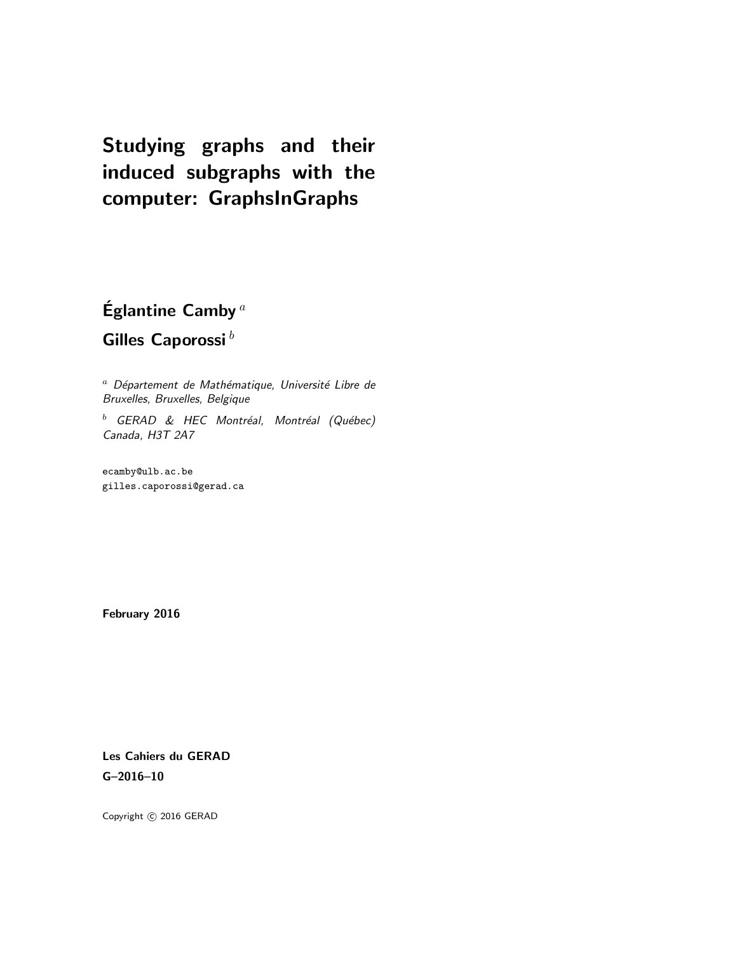# Studying graphs and their induced subgraphs with the computer: GraphsInGraphs

Églantine Camby<sup>a</sup> Gilles Caporossi $^b$ 

 $a$  Département de Mathématique, Université Libre de Bruxelles, Bruxelles, Belgique

 $<sup>b</sup>$  GERAD & HEC Montréal, Montréal (Québec)</sup> Canada, H3T 2A7

ecamby@ulb.ac.be gilles.caporossi@gerad.ca

February 2016

Les Cahiers du GERAD G–2016–10

Copyright © 2016 GERAD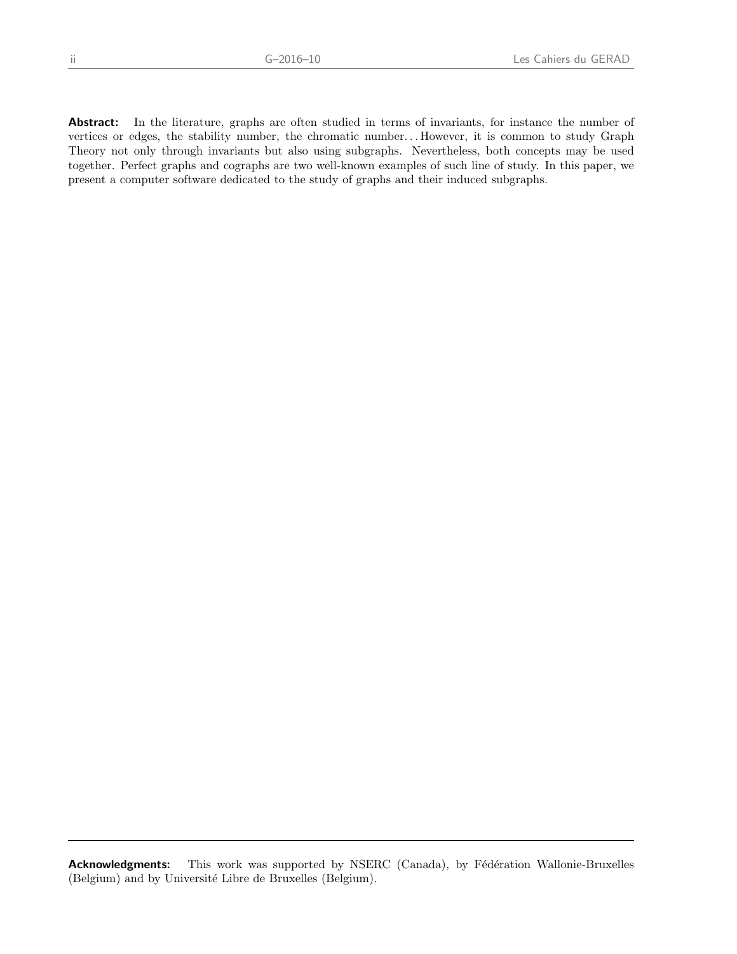Abstract: In the literature, graphs are often studied in terms of invariants, for instance the number of vertices or edges, the stability number, the chromatic number. . . However, it is common to study Graph Theory not only through invariants but also using subgraphs. Nevertheless, both concepts may be used together. Perfect graphs and cographs are two well-known examples of such line of study. In this paper, we present a computer software dedicated to the study of graphs and their induced subgraphs.

Acknowledgments: This work was supported by NSERC (Canada), by Fédération Wallonie-Bruxelles (Belgium) and by Université Libre de Bruxelles (Belgium).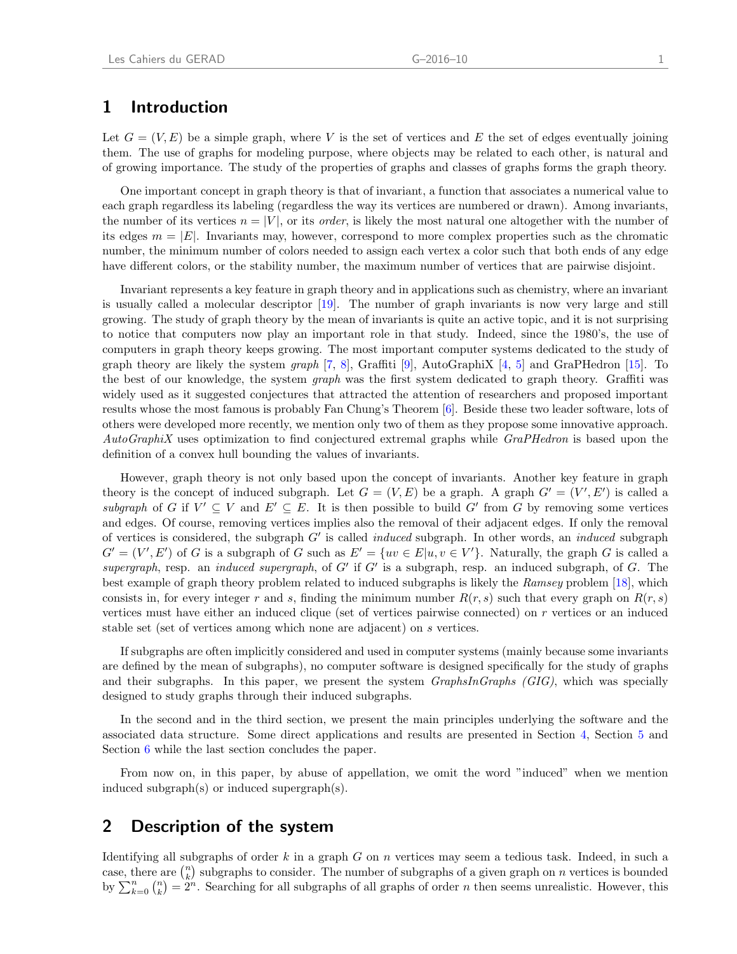#### 1 Introduction

Let  $G = (V, E)$  be a simple graph, where V is the set of vertices and E the set of edges eventually joining them. The use of graphs for modeling purpose, where objects may be related to each other, is natural and of growing importance. The study of the properties of graphs and classes of graphs forms the graph theory.

One important concept in graph theory is that of invariant, a function that associates a numerical value to each graph regardless its labeling (regardless the way its vertices are numbered or drawn). Among invariants, the number of its vertices  $n = |V|$ , or its *order*, is likely the most natural one altogether with the number of its edges  $m = |E|$ . Invariants may, however, correspond to more complex properties such as the chromatic number, the minimum number of colors needed to assign each vertex a color such that both ends of any edge have different colors, or the stability number, the maximum number of vertices that are pairwise disjoint.

Invariant represents a key feature in graph theory and in applications such as chemistry, where an invariant is usually called a molecular descriptor [\[19\]](#page-10-0). The number of graph invariants is now very large and still growing. The study of graph theory by the mean of invariants is quite an active topic, and it is not surprising to notice that computers now play an important role in that study. Indeed, since the 1980's, the use of computers in graph theory keeps growing. The most important computer systems dedicated to the study of graph theory are likely the system graph [\[7,](#page-9-0) [8\]](#page-10-1), Graffiti [\[9\]](#page-10-2), AutoGraphiX [\[4,](#page-9-1) [5\]](#page-9-2) and GraPHedron [\[15\]](#page-10-3). To the best of our knowledge, the system *graph* was the first system dedicated to graph theory. Graffiti was widely used as it suggested conjectures that attracted the attention of researchers and proposed important results whose the most famous is probably Fan Chung's Theorem [\[6\]](#page-9-3). Beside these two leader software, lots of others were developed more recently, we mention only two of them as they propose some innovative approach. AutoGraphiX uses optimization to find conjectured extremal graphs while GraPHedron is based upon the definition of a convex hull bounding the values of invariants.

However, graph theory is not only based upon the concept of invariants. Another key feature in graph theory is the concept of induced subgraph. Let  $G = (V, E)$  be a graph. A graph  $G' = (V', E')$  is called a subgraph of G if  $V' \subseteq V$  and  $E' \subseteq E$ . It is then possible to build G' from G by removing some vertices and edges. Of course, removing vertices implies also the removal of their adjacent edges. If only the removal of vertices is considered, the subgraph  $G'$  is called *induced* subgraph. In other words, an *induced* subgraph  $G' = (V', E')$  of G is a subgraph of G such as  $E' = \{uv \in E | u, v \in V'\}$ . Naturally, the graph G is called a supergraph, resp. an induced supergraph, of  $G'$  if  $G'$  is a subgraph, resp. an induced subgraph, of  $G$ . The best example of graph theory problem related to induced subgraphs is likely the Ramsey problem [\[18\]](#page-10-4), which consists in, for every integer r and s, finding the minimum number  $R(r, s)$  such that every graph on  $R(r, s)$ vertices must have either an induced clique (set of vertices pairwise connected) on r vertices or an induced stable set (set of vertices among which none are adjacent) on s vertices.

If subgraphs are often implicitly considered and used in computer systems (mainly because some invariants are defined by the mean of subgraphs), no computer software is designed specifically for the study of graphs and their subgraphs. In this paper, we present the system GraphsInGraphs (GIG), which was specially designed to study graphs through their induced subgraphs.

In the second and in the third section, we present the main principles underlying the software and the associated data structure. Some direct applications and results are presented in Section [4,](#page-6-0) Section [5](#page-7-0) and Section [6](#page-8-0) while the last section concludes the paper.

From now on, in this paper, by abuse of appellation, we omit the word "induced" when we mention induced subgraph(s) or induced supergraph(s).

# 2 Description of the system

Identifying all subgraphs of order  $k$  in a graph  $G$  on  $n$  vertices may seem a tedious task. Indeed, in such a case, there are  $\binom{n}{k}$  subgraphs to consider. The number of subgraphs of a given graph on n vertices is bounded by  $\sum_{k=0}^{n} {n \choose k} = 2^n$ . Searching for all subgraphs of all graphs of order *n* then seems unrealistic. However, this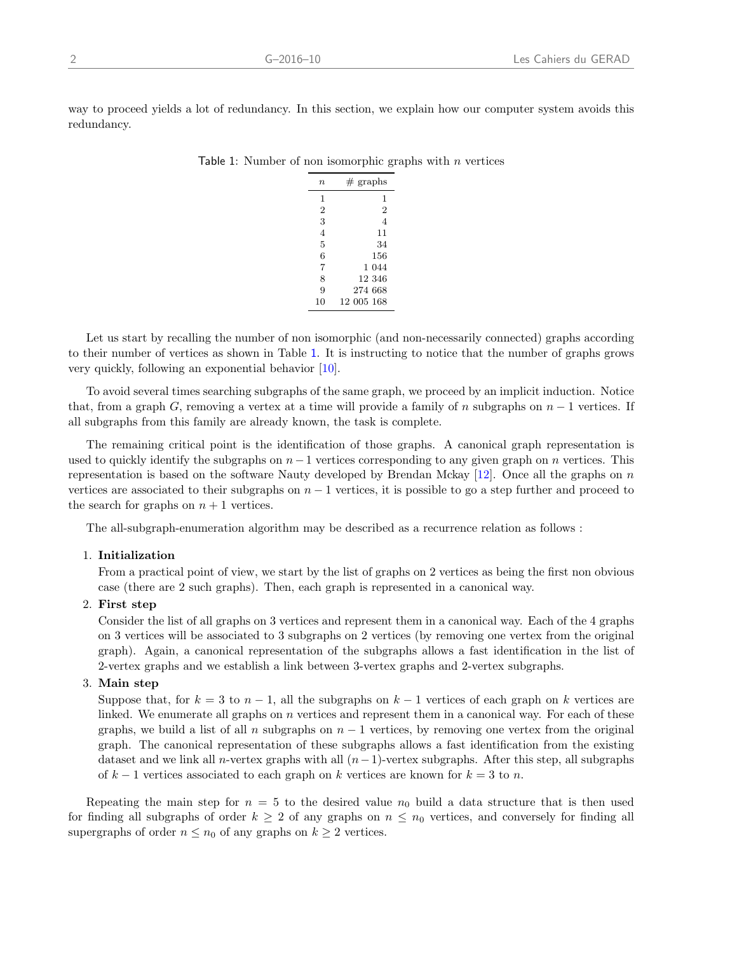way to proceed yields a lot of redundancy. In this section, we explain how our computer system avoids this redundancy.

| $\it n$        | $#$ graphs     |
|----------------|----------------|
| 1              | 1              |
| 2              | 2              |
| 3              | $\overline{4}$ |
| $\overline{4}$ | 11             |
| 5              | 34             |
| 6              | 156            |
| 7              | 1 044          |
| 8              | 12 346         |
| 9              | 274 668        |
| 10             | 12 005 168     |

<span id="page-5-0"></span>

| Table 1: Number of non isomorphic graphs with $n$ vertices |  |  |  |  |  |  |  |
|------------------------------------------------------------|--|--|--|--|--|--|--|
|------------------------------------------------------------|--|--|--|--|--|--|--|

Let us start by recalling the number of non isomorphic (and non-necessarily connected) graphs according to their number of vertices as shown in Table [1](#page-5-0). It is instructing to notice that the number of graphs grows very quickly, following an exponential behavior [\[10\]](#page-10-5).

To avoid several times searching subgraphs of the same graph, we proceed by an implicit induction. Notice that, from a graph G, removing a vertex at a time will provide a family of n subgraphs on  $n-1$  vertices. If all subgraphs from this family are already known, the task is complete.

The remaining critical point is the identification of those graphs. A canonical graph representation is used to quickly identify the subgraphs on  $n-1$  vertices corresponding to any given graph on n vertices. This representation is based on the software Nauty developed by Brendan Mckay  $[12]$ . Once all the graphs on n vertices are associated to their subgraphs on  $n - 1$  vertices, it is possible to go a step further and proceed to the search for graphs on  $n + 1$  vertices.

The all-subgraph-enumeration algorithm may be described as a recurrence relation as follows :

#### 1. Initialization

From a practical point of view, we start by the list of graphs on 2 vertices as being the first non obvious case (there are 2 such graphs). Then, each graph is represented in a canonical way.

#### 2. First step

Consider the list of all graphs on 3 vertices and represent them in a canonical way. Each of the 4 graphs on 3 vertices will be associated to 3 subgraphs on 2 vertices (by removing one vertex from the original graph). Again, a canonical representation of the subgraphs allows a fast identification in the list of 2-vertex graphs and we establish a link between 3-vertex graphs and 2-vertex subgraphs.

#### 3. Main step

Suppose that, for  $k = 3$  to  $n - 1$ , all the subgraphs on  $k - 1$  vertices of each graph on k vertices are linked. We enumerate all graphs on  $n$  vertices and represent them in a canonical way. For each of these graphs, we build a list of all n subgraphs on  $n-1$  vertices, by removing one vertex from the original graph. The canonical representation of these subgraphs allows a fast identification from the existing dataset and we link all n-vertex graphs with all  $(n-1)$ -vertex subgraphs. After this step, all subgraphs of  $k-1$  vertices associated to each graph on k vertices are known for  $k=3$  to n.

Repeating the main step for  $n = 5$  to the desired value  $n_0$  build a data structure that is then used for finding all subgraphs of order  $k \geq 2$  of any graphs on  $n \leq n_0$  vertices, and conversely for finding all supergraphs of order  $n \leq n_0$  of any graphs on  $k \geq 2$  vertices.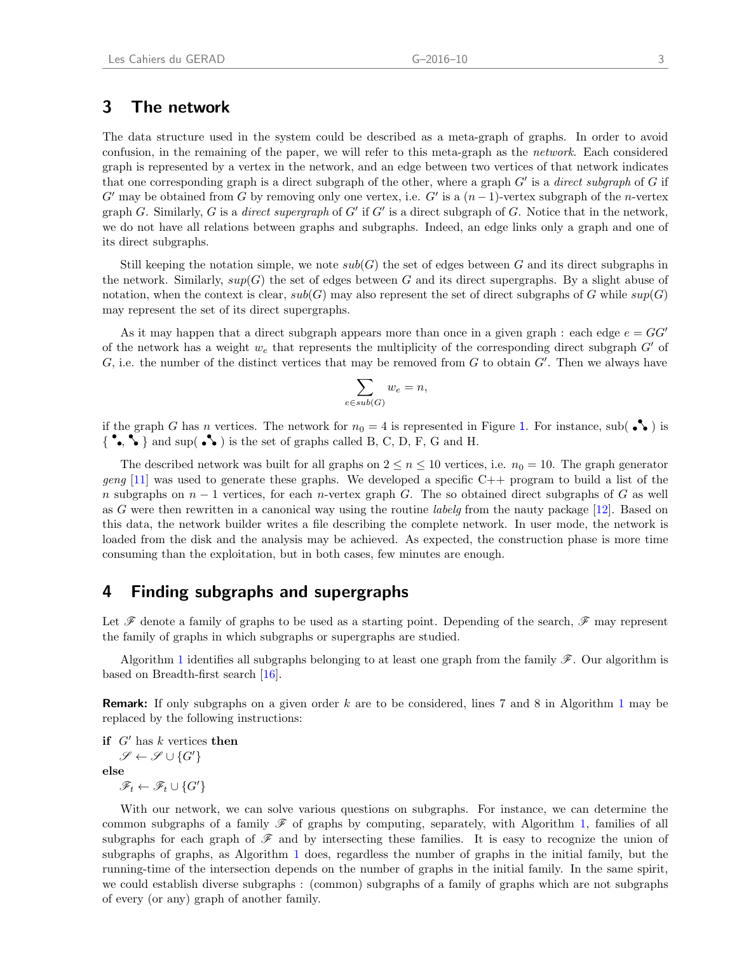# 3 The network

The data structure used in the system could be described as a meta-graph of graphs. In order to avoid confusion, in the remaining of the paper, we will refer to this meta-graph as the network. Each considered graph is represented by a vertex in the network, and an edge between two vertices of that network indicates that one corresponding graph is a direct subgraph of the other, where a graph  $G'$  is a direct subgraph of  $G$  if G' may be obtained from G by removing only one vertex, i.e. G' is a  $(n-1)$ -vertex subgraph of the n-vertex graph G. Similarly, G is a direct supergraph of  $G'$  if  $G'$  is a direct subgraph of G. Notice that in the network, we do not have all relations between graphs and subgraphs. Indeed, an edge links only a graph and one of its direct subgraphs.

Still keeping the notation simple, we note  $sub(G)$  the set of edges between G and its direct subgraphs in the network. Similarly,  $sup(G)$  the set of edges between G and its direct supergraphs. By a slight abuse of notation, when the context is clear,  $sub(G)$  may also represent the set of direct subgraphs of G while  $sup(G)$ may represent the set of its direct supergraphs.

As it may happen that a direct subgraph appears more than once in a given graph : each edge  $e = GG'$ of the network has a weight  $w_e$  that represents the multiplicity of the corresponding direct subgraph  $G'$  of G, i.e. the number of the distinct vertices that may be removed from  $G$  to obtain  $G'$ . Then we always have

$$
\sum_{e \in sub(G)} w_e = n,
$$

if the graph G has n vertices. The network for  $n_0 = 4$  is represented in Figure [1](#page-7-1). For instance, sub( $\bullet\bullet$ ) is  $\{\bullet,\bullet\}$  and sup( $\bullet\bullet$ ) is the set of graphs called B, C, D, F, G and H.

The described network was built for all graphs on  $2 \leq n \leq 10$  vertices, i.e.  $n_0 = 10$ . The graph generator geng [\[11\]](#page-10-7) was used to generate these graphs. We developed a specific  $C++$  program to build a list of the n subgraphs on  $n-1$  vertices, for each n-vertex graph G. The so obtained direct subgraphs of G as well as G were then rewritten in a canonical way using the routine *labelg* from the nauty package [\[12\]](#page-10-6). Based on this data, the network builder writes a file describing the complete network. In user mode, the network is loaded from the disk and the analysis may be achieved. As expected, the construction phase is more time consuming than the exploitation, but in both cases, few minutes are enough.

### <span id="page-6-0"></span>4 Finding subgraphs and supergraphs

Let  $\mathscr F$  denote a family of graphs to be used as a starting point. Depending of the search,  $\mathscr F$  may represent the family of graphs in which subgraphs or supergraphs are studied.

Algorithm [1](#page-8-1) identifies all subgraphs belonging to at least one graph from the family  $\mathscr{F}$ . Our algorithm is based on Breadth-first search [\[16\]](#page-10-8).

**Remark:** If only subgraphs on a given order  $k$  are to be considered, lines 7 and 8 in Algorithm [1](#page-8-1) may be replaced by the following instructions:

if  $G'$  has k vertices then  $\mathscr{S} \leftarrow \mathscr{S} \cup \{G'\}$ else  $\mathscr{F}_t \leftarrow \mathscr{F}_t \cup \{G'\}$ 

With our network, we can solve various questions on subgraphs. For instance, we can determine the common subgraphs of a family  $\mathscr F$  of graphs by computing, separately, with Algorithm [1,](#page-8-1) families of all subgraphs for each graph of  $\mathscr F$  and by intersecting these families. It is easy to recognize the union of subgraphs of graphs, as Algorithm [1](#page-8-1) does, regardless the number of graphs in the initial family, but the running-time of the intersection depends on the number of graphs in the initial family. In the same spirit, we could establish diverse subgraphs : (common) subgraphs of a family of graphs which are not subgraphs of every (or any) graph of another family.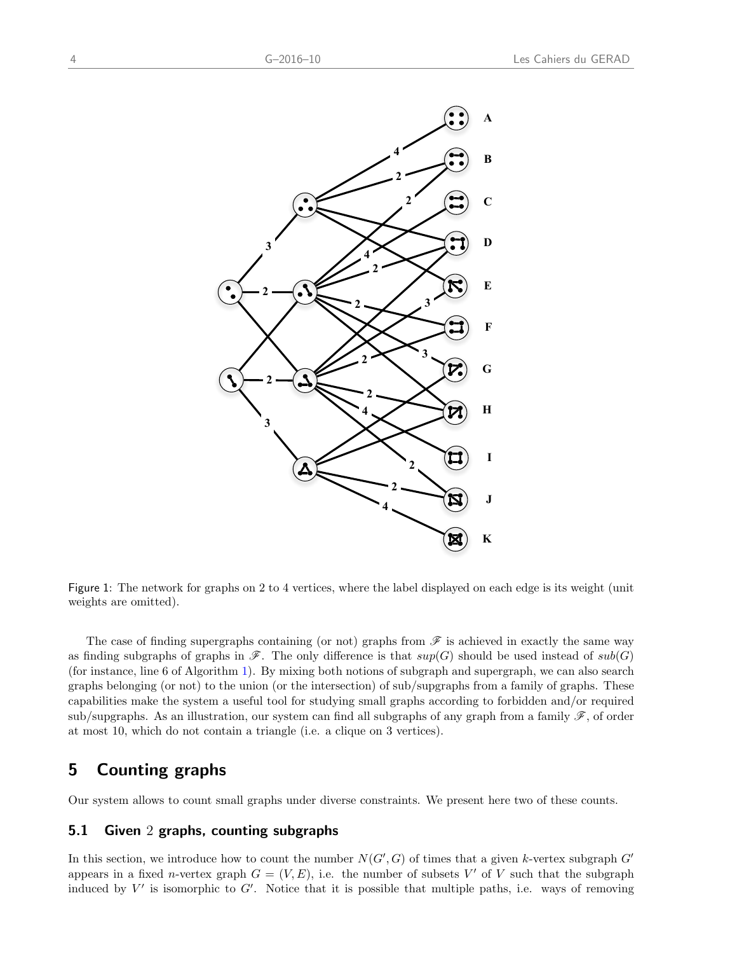

<span id="page-7-1"></span>Figure 1: The network for graphs on 2 to 4 vertices, where the label displayed on each edge is its weight (unit weights are omitted).

The case of finding supergraphs containing (or not) graphs from  $\mathscr F$  is achieved in exactly the same way as finding subgraphs of graphs in  $\mathscr{F}$ . The only difference is that  $sup(G)$  should be used instead of  $sub(G)$ (for instance, line 6 of Algorithm [1\)](#page-8-1). By mixing both notions of subgraph and supergraph, we can also search graphs belonging (or not) to the union (or the intersection) of sub/supgraphs from a family of graphs. These capabilities make the system a useful tool for studying small graphs according to forbidden and/or required sub/supgraphs. As an illustration, our system can find all subgraphs of any graph from a family  $\mathscr{F}$ , of order at most 10, which do not contain a triangle (i.e. a clique on 3 vertices).

# <span id="page-7-0"></span>5 Counting graphs

Our system allows to count small graphs under diverse constraints. We present here two of these counts.

#### 5.1 Given 2 graphs, counting subgraphs

In this section, we introduce how to count the number  $N(G', G)$  of times that a given k-vertex subgraph  $G'$ appears in a fixed *n*-vertex graph  $G = (V, E)$ , i.e. the number of subsets V' of V such that the subgraph induced by  $V'$  is isomorphic to  $G'$ . Notice that it is possible that multiple paths, i.e. ways of removing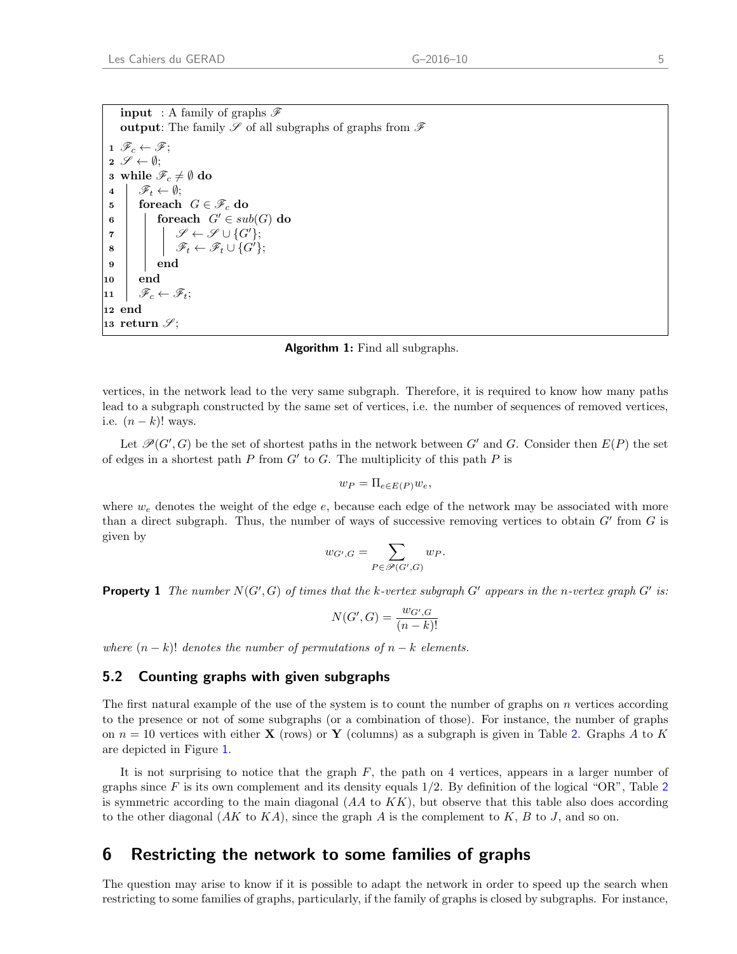<span id="page-8-1"></span>

| <b>input</b> : A family of graphs $\mathscr F$                                                                                                                                                                           |  |  |  |  |  |  |
|--------------------------------------------------------------------------------------------------------------------------------------------------------------------------------------------------------------------------|--|--|--|--|--|--|
| <b>output:</b> The family $\mathscr S$ of all subgraphs of graphs from $\mathscr F$                                                                                                                                      |  |  |  |  |  |  |
| $1 \mathscr{F}_c \leftarrow \mathscr{F}$                                                                                                                                                                                 |  |  |  |  |  |  |
| $2 \mathscr{S} \leftarrow \emptyset;$                                                                                                                                                                                    |  |  |  |  |  |  |
| 3 while $\mathscr{F}_c \neq \emptyset$ do                                                                                                                                                                                |  |  |  |  |  |  |
| $4 \mid \mathscr{F}_t \leftarrow \emptyset;$                                                                                                                                                                             |  |  |  |  |  |  |
| 5 foreach $G \in \mathscr{F}_c$ do                                                                                                                                                                                       |  |  |  |  |  |  |
| foreach $G' \in sub(G)$ do<br>$\bf 6$                                                                                                                                                                                    |  |  |  |  |  |  |
|                                                                                                                                                                                                                          |  |  |  |  |  |  |
| $\begin{array}{c c} \mathbf{7} & \mathbf{8} \end{array} \left  \begin{array}{c} \mathbf{9} & \mathcal{S} \leftarrow \mathcal{S} \cup \{G'\}; \\ \mathcal{F}_t \leftarrow \mathcal{F}_t \cup \{G'\}; \end{array} \right.$ |  |  |  |  |  |  |
| 9<br>end                                                                                                                                                                                                                 |  |  |  |  |  |  |
| l end<br>10                                                                                                                                                                                                              |  |  |  |  |  |  |
| $\mathscr{F}_c \leftarrow \mathscr{F}_t;$<br>$\bf{11}$                                                                                                                                                                   |  |  |  |  |  |  |
| 12 end                                                                                                                                                                                                                   |  |  |  |  |  |  |
| 13 return $\mathscr{S}$ ;                                                                                                                                                                                                |  |  |  |  |  |  |

Algorithm 1: Find all subgraphs.

vertices, in the network lead to the very same subgraph. Therefore, it is required to know how many paths lead to a subgraph constructed by the same set of vertices, i.e. the number of sequences of removed vertices, i.e.  $(n - k)!$  ways.

Let  $\mathcal{P}(G', G)$  be the set of shortest paths in the network between G' and G. Consider then  $E(P)$  the set of edges in a shortest path  $P$  from  $G'$  to  $G$ . The multiplicity of this path  $P$  is

$$
w_P = \Pi_{e \in E(P)} w_e,
$$

where  $w_e$  denotes the weight of the edge  $e$ , because each edge of the network may be associated with more than a direct subgraph. Thus, the number of ways of successive removing vertices to obtain  $G'$  from  $G$  is given by

$$
w_{G',G} = \sum_{P \in \mathscr{P}(G',G)} w_P.
$$

**Property 1** The number  $N(G', G)$  of times that the k-vertex subgraph G' appears in the n-vertex graph G' is:

$$
N(G', G) = \frac{w_{G',G}}{(n-k)!}
$$

where  $(n - k)!$  denotes the number of permutations of  $n - k$  elements.

#### 5.2 Counting graphs with given subgraphs

The first natural example of the use of the system is to count the number of graphs on n vertices according to the presence or not of some subgraphs (or a combination of those). For instance, the number of graphs on  $n = 10$  vertices with either **X** (rows) or **Y** (columns) as a subgraph is given in Table [2](#page-9-4). Graphs A to K are depicted in Figure [1](#page-7-1).

It is not surprising to notice that the graph  $F$ , the path on 4 vertices, appears in a larger number of graphs since  $F$  is its own complement and its density equals  $1/2$  $1/2$ . By definition of the logical "OR", Table 2 is symmetric according to the main diagonal  $(AA \text{ to } KK)$ , but observe that this table also does according to the other diagonal  $(AK$  to  $KA)$ , since the graph A is the complement to K, B to J, and so on.

#### <span id="page-8-0"></span>6 Restricting the network to some families of graphs

The question may arise to know if it is possible to adapt the network in order to speed up the search when restricting to some families of graphs, particularly, if the family of graphs is closed by subgraphs. For instance,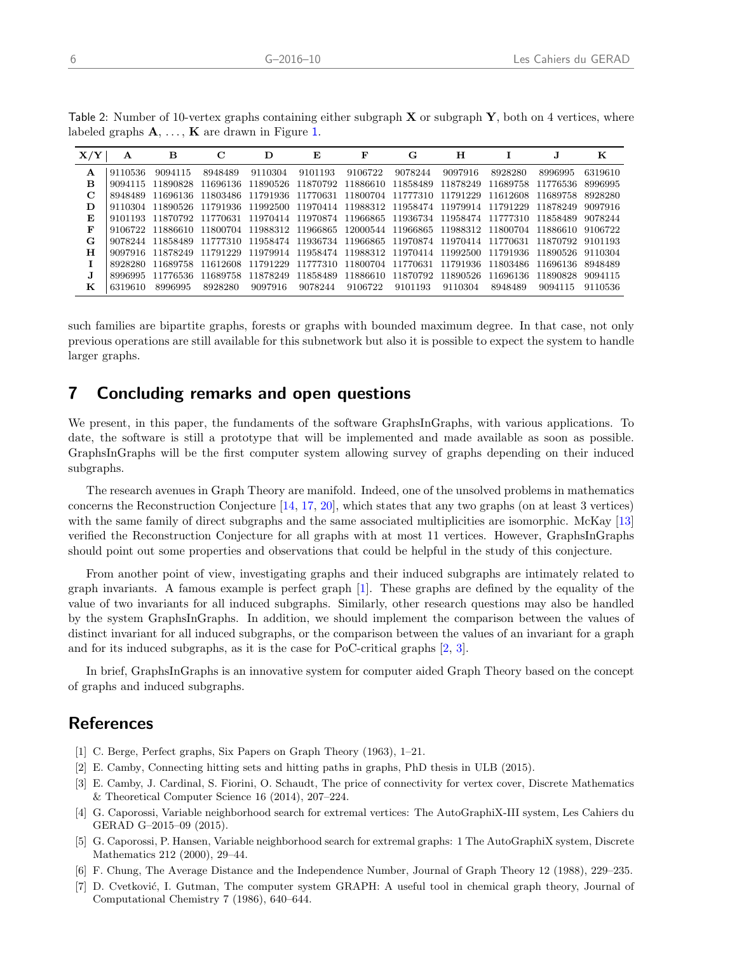<span id="page-9-4"></span>

| Table 2: Number of 10-vertex graphs containing either subgraph $X$ or subgraph $Y$ , both on 4 vertices, where |  |
|----------------------------------------------------------------------------------------------------------------|--|
| labeled graphs $A, \ldots, K$ are drawn in Figure 1.                                                           |  |

| X/ | A       | в        | С        | D        | Е        | F                                                                               | G        | н                 |                            |          | к       |
|----|---------|----------|----------|----------|----------|---------------------------------------------------------------------------------|----------|-------------------|----------------------------|----------|---------|
| Α  | 9110536 | 9094115  | 8948489  | 9110304  | 9101193  | 9106722                                                                         | 9078244  | 9097916           | 8928280                    | 8996995  | 6319610 |
| в  | 9094115 | 11890828 | 11696136 | 11890526 | 11870792 | 11886610 11858489                                                               |          | 11878249          | 11689758                   | 11776536 | 8996995 |
| С  | 8948489 | 11696136 | 11803486 | 11791936 | 11770631 | 11800704 11777310                                                               |          | 11791229          | 11612608                   | 11689758 | 8928280 |
| D  | 9110304 | 11890526 | 11791936 | 11992500 |          | 11970414 11988312 11958474                                                      |          | 11979914 11791229 |                            | 11878249 | 9097916 |
| Е  | 9101193 |          |          |          |          | 11870792 11770631 11970414 11970874 11966865 11936734 11958474 11777310         |          |                   |                            | 11858489 | 9078244 |
| F  | 9106722 | 11886610 | 11800704 |          |          | 11988312 11966865 12000544 11966865                                             |          |                   | 11988312 11800704 11886610 |          | 9106722 |
| G  | 9078244 | 11858489 |          |          |          | 11777310 11958474 11936734 11966865 11970874 11970414 11770631 11870792 9101193 |          |                   |                            |          |         |
| н  | 9097916 | 11878249 | 11791229 |          |          | 11979914 11958474 11988312 11970414 11992500 11791936 11890526                  |          |                   |                            |          | 9110304 |
|    | 8928280 | 11689758 | 11612608 | 11791229 | 11777310 | 11800704 11770631                                                               |          | 11791936 11803486 |                            | 11696136 | 8948489 |
|    | 8996995 | 11776536 | 11689758 | 11878249 | 11858489 | 11886610                                                                        | 11870792 | 11890526          | 11696136                   | 11890828 | 9094115 |
| к  | 6319610 | 8996995  | 8928280  | 9097916  | 9078244  | 9106722                                                                         | 9101193  | 9110304           | 8948489                    | 9094115  | 9110536 |

such families are bipartite graphs, forests or graphs with bounded maximum degree. In that case, not only previous operations are still available for this subnetwork but also it is possible to expect the system to handle larger graphs.

### 7 Concluding remarks and open questions

We present, in this paper, the fundaments of the software GraphsInGraphs, with various applications. To date, the software is still a prototype that will be implemented and made available as soon as possible. GraphsInGraphs will be the first computer system allowing survey of graphs depending on their induced subgraphs.

The research avenues in Graph Theory are manifold. Indeed, one of the unsolved problems in mathematics concerns the Reconstruction Conjecture [\[14,](#page-10-9) [17,](#page-10-10) [20\]](#page-10-11), which states that any two graphs (on at least 3 vertices) with the same family of direct subgraphs and the same associated multiplicities are isomorphic. McKay [\[13\]](#page-10-12) verified the Reconstruction Conjecture for all graphs with at most 11 vertices. However, GraphsInGraphs should point out some properties and observations that could be helpful in the study of this conjecture.

From another point of view, investigating graphs and their induced subgraphs are intimately related to graph invariants. A famous example is perfect graph [\[1\]](#page-9-5). These graphs are defined by the equality of the value of two invariants for all induced subgraphs. Similarly, other research questions may also be handled by the system GraphsInGraphs. In addition, we should implement the comparison between the values of distinct invariant for all induced subgraphs, or the comparison between the values of an invariant for a graph and for its induced subgraphs, as it is the case for PoC-critical graphs [\[2,](#page-9-6) [3\]](#page-9-7).

In brief, GraphsInGraphs is an innovative system for computer aided Graph Theory based on the concept of graphs and induced subgraphs.

# **References**

- <span id="page-9-5"></span>[1] C. Berge, Perfect graphs, Six Papers on Graph Theory (1963), 1–21.
- <span id="page-9-6"></span>[2] E. Camby, Connecting hitting sets and hitting paths in graphs, PhD thesis in ULB (2015).
- <span id="page-9-7"></span>[3] E. Camby, J. Cardinal, S. Fiorini, O. Schaudt, The price of connectivity for vertex cover, Discrete Mathematics & Theoretical Computer Science 16 (2014), 207–224.
- <span id="page-9-1"></span>[4] G. Caporossi, Variable neighborhood search for extremal vertices: The AutoGraphiX-III system, Les Cahiers du GERAD G–2015–09 (2015).
- <span id="page-9-2"></span>[5] G. Caporossi, P. Hansen, Variable neighborhood search for extremal graphs: 1 The AutoGraphiX system, Discrete Mathematics 212 (2000), 29–44.
- <span id="page-9-3"></span>[6] F. Chung, The Average Distance and the Independence Number, Journal of Graph Theory 12 (1988), 229–235.
- <span id="page-9-0"></span>[7] D. Cvetković, I. Gutman, The computer system GRAPH: A useful tool in chemical graph theory, Journal of Computational Chemistry 7 (1986), 640–644.